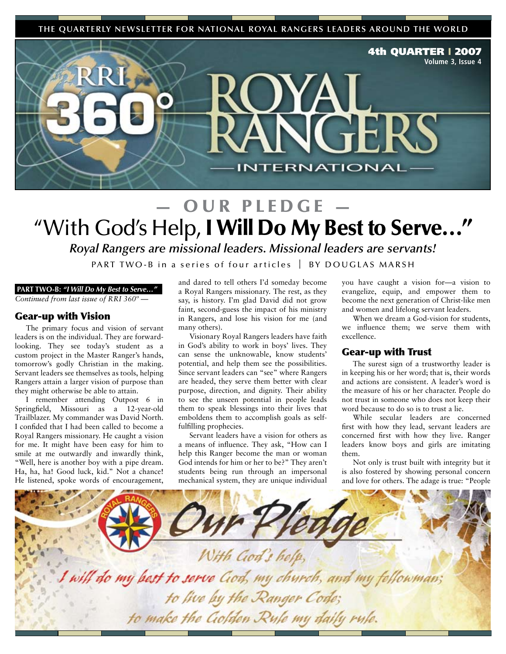**THE QUARTERLY NEWSLETTER FOR NATIONAL ROYAL RANGERS LEADERS AROUND THE WORLD**



### OUR PLEDGE "With God's Help, I Will Do My Best to Serve…"

*Royal Rangers are missional leaders. Missional leaders are servants!*

PART TWO-B in a series of four articles  $\parallel$  BY DOUGLAS MARSH

#### **PART TWO-B:** *"I Will Do My Best to Serve…"*

*Continued from last issue of RRI 360º —*

#### Gear-up with Vision

The primary focus and vision of servant leaders is on the individual. They are forwardlooking. They see today's student as a custom project in the Master Ranger's hands, tomorrow's godly Christian in the making. Servant leaders see themselves as tools, helping Rangers attain a larger vision of purpose than they might otherwise be able to attain.

I remember attending Outpost 6 in Springfield, Missouri as a 12-year-old Trailblazer. My commander was David North. I confided that I had been called to become a Royal Rangers missionary. He caught a vision for me. It might have been easy for him to smile at me outwardly and inwardly think, "Well, here is another boy with a pipe dream. Ha, ha, ha! Good luck, kid." Not a chance! He listened, spoke words of encouragement,

and dared to tell others I'd someday become a Royal Rangers missionary. The rest, as they say, is history. I'm glad David did not grow faint, second-guess the impact of his ministry in Rangers, and lose his vision for me (and many others).

Visionary Royal Rangers leaders have faith in God's ability to work in boys' lives. They can sense the unknowable, know students' potential, and help them see the possibilities. Since servant leaders can "see" where Rangers are headed, they serve them better with clear purpose, direction, and dignity. Their ability to see the unseen potential in people leads them to speak blessings into their lives that emboldens them to accomplish goals as selffulfilling prophecies.

Servant leaders have a vision for others as a means of influence. They ask, "How can I help this Ranger become the man or woman God intends for him or her to be?" They aren't students being run through an impersonal mechanical system, they are unique individual you have caught a vision for—a vision to evangelize, equip, and empower them to become the next generation of Christ-like men and women and lifelong servant leaders.

When we dream a God-vision for students, we influence them; we serve them with excellence.

### Gear-up with Trust

The surest sign of a trustworthy leader is in keeping his or her word; that is, their words and actions are consistent. A leader's word is the measure of his or her character. People do not trust in someone who does not keep their word because to do so is to trust a lie.

While secular leaders are concerned first with how they lead, servant leaders are concerned first with how they live. Ranger leaders know boys and girls are imitating them.

Not only is trust built with integrity but it is also fostered by showing personal concern and love for others. The adage is true: "People

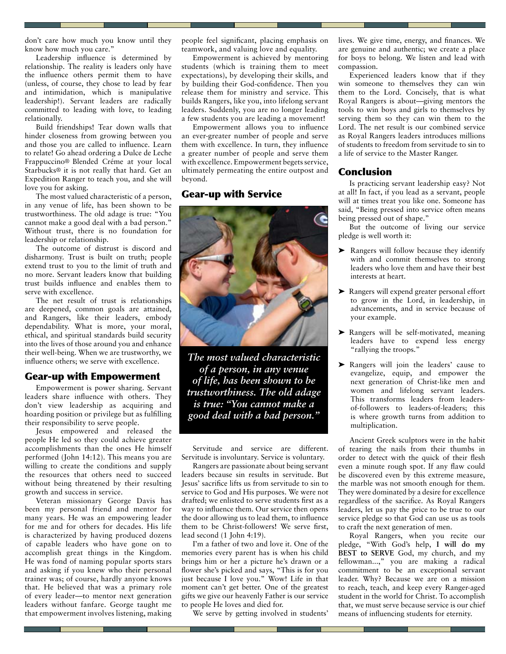don't care how much you know until they know how much you care."

Leadership influence is determined by relationship. The reality is leaders only have the influence others permit them to have (unless, of course, they chose to lead by fear and intimidation, which is manipulative leadership!). Servant leaders are radically committed to leading with love, to leading relationally.

Build friendships! Tear down walls that hinder closeness from growing between you and those you are called to influence. Learn to relate! Go ahead ordering a Dulce de Leche Frappuccino® Blended Créme at your local Starbucks® it is not really that hard. Get an Expedition Ranger to teach you, and she will love you for asking.

The most valued characteristic of a person, in any venue of life, has been shown to be trustworthiness. The old adage is true: "You cannot make a good deal with a bad person." Without trust, there is no foundation for leadership or relationship.

The outcome of distrust is discord and disharmony. Trust is built on truth; people extend trust to you to the limit of truth and no more. Servant leaders know that building trust builds influence and enables them to serve with excellence.

The net result of trust is relationships are deepened, common goals are attained, and Rangers, like their leaders, embody dependability. What is more, your moral, ethical, and spiritual standards build security into the lives of those around you and enhance their well-being. When we are trustworthy, we influence others; we serve with excellence.

### Gear-up with Empowerment

Empowerment is power sharing. Servant leaders share influence with others. They don't view leadership as acquiring and hoarding position or privilege but as fulfilling their responsibility to serve people.

Jesus empowered and released the people He led so they could achieve greater accomplishments than the ones He himself performed (John 14:12). This means you are willing to create the conditions and supply the resources that others need to succeed without being threatened by their resulting growth and success in service.

Veteran missionary George Davis has been my personal friend and mentor for many years. He was an empowering leader for me and for others for decades. His life is characterized by having produced dozens of capable leaders who have gone on to accomplish great things in the Kingdom. He was fond of naming popular sports stars and asking if you knew who their personal trainer was; of course, hardly anyone knows that. He believed that was a primary role of every leader—to mentor next generation leaders without fanfare. George taught me that empowerment involves listening, making

people feel significant, placing emphasis on teamwork, and valuing love and equality.

Empowerment is achieved by mentoring students (which is training them to meet expectations), by developing their skills, and by building their God-confidence. Then you release them for ministry and service. This builds Rangers, like you, into lifelong servant leaders. Suddenly, you are no longer leading a few students you are leading a movement!

Empowerment allows you to influence an ever-greater number of people and serve them with excellence. In turn, they influence a greater number of people and serve them with excellence. Empowerment begets service, ultimately permeating the entire outpost and beyond.

### Gear-up with Service



*The most valued characteristic of a person, in any venue of life, has been shown to be trustworthiness. The old adage is true: "You cannot make a good deal with a bad person."*

Servitude and service are different. Servitude is involuntary. Service is voluntary.

Rangers are passionate about being servant leaders because sin results in servitude. But Jesus' sacrifice lifts us from servitude to sin to service to God and His purposes. We were not drafted; we enlisted to serve students first as a way to influence them. Our service then opens the door allowing us to lead them, to influence them to be Christ-followers! We serve first, lead second (1 John 4:19).

I'm a father of two and love it. One of the memories every parent has is when his child brings him or her a picture he's drawn or a flower she's picked and says, "This is for you just because I love you." Wow! Life in that moment can't get better. One of the greatest gifts we give our heavenly Father is our service to people He loves and died for.

We serve by getting involved in students'

lives. We give time, energy, and finances. We are genuine and authentic; we create a place for boys to belong. We listen and lead with compassion.

Experienced leaders know that if they win someone to themselves they can win them to the Lord. Concisely, that is what Royal Rangers is about—giving mentors the tools to win boys and girls to themselves by serving them so they can win them to the Lord. The net result is our combined service as Royal Rangers leaders introduces millions of students to freedom from servitude to sin to a life of service to the Master Ranger.

### Conclusion

Is practicing servant leadership easy? Not at all! In fact, if you lead as a servant, people will at times treat you like one. Someone has said, "Being pressed into service often means being pressed out of shape."

But the outcome of living our service pledge is well worth it:

- ➤ Rangers will follow because they identify with and commit themselves to strong leaders who love them and have their best interests at heart.
- ➤ Rangers will expend greater personal effort to grow in the Lord, in leadership, in advancements, and in service because of your example.
- ➤ Rangers will be self-motivated, meaning leaders have to expend less energy "rallying the troops."
- ➤ Rangers will join the leaders' cause to evangelize, equip, and empower the next generation of Christ-like men and women and lifelong servant leaders. This transforms leaders from leadersof-followers to leaders-of-leaders; this is where growth turns from addition to multiplication.

Ancient Greek sculptors were in the habit of tearing the nails from their thumbs in order to detect with the quick of their flesh even a minute rough spot. If any flaw could be discovered even by this extreme measure, the marble was not smooth enough for them. They were dominated by a desire for excellence regardless of the sacrifice. As Royal Rangers leaders, let us pay the price to be true to our service pledge so that God can use us as tools to craft the next generation of men.

Royal Rangers, when you recite our pledge, "With God's help, **I will do my BEST to SERVE** God, my church, and my fellowman...," you are making a radical commitment to be an exceptional servant leader. Why? Because we are on a mission to reach, teach, and keep every Ranger-aged student in the world for Christ. To accomplish that, we must serve because service is our chief means of influencing students for eternity.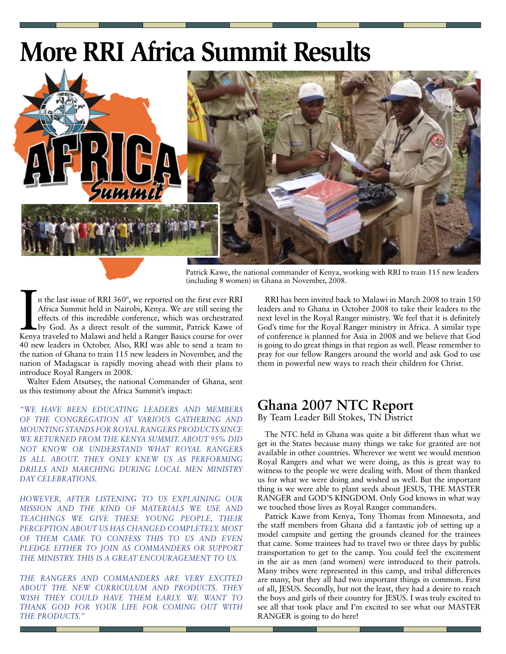### **More RRI Africa Summit Results**



Patrick Kawe, the national commander of Kenya, working with RRI to train 115 new leaders (including 8 women) in Ghana in November, 2008.

In the last issue of RRI 360°, we reported on the first ever RRI Africa Summit held in Nairobi, Kenya. We are still seeing the effects of this incredible conference, which was orchestrated by God. As a direct result of the n the last issue of RRI 360º, we reported on the first ever RRI Africa Summit held in Nairobi, Kenya. We are still seeing the effects of this incredible conference, which was orchestrated by God. As a direct result of the summit, Patrick Kawe of 40 new leaders in October. Also, RRI was able to send a team to the nation of Ghana to train 115 new leaders in November, and the nation of Madagscar is rapidly moving ahead with their plans to introduce Royal Rangers in 2008.

Walter Edem Atsutsey, the national Commander of Ghana, sent us this testimony about the Africa Summit's impact:

*"WE HAVE BEEN EDUCATING LEADERS AND MEMBERS OF THE CONGREGATION AT VARIOUS GATHERING AND MOUNTING STANDS FOR ROYAL RANGERS PRODUCTS SINCE WE RETURNED FROM THE KENYA SUMMIT. ABOUT 95% DID NOT KNOW OR UNDERSTAND WHAT ROYAL RANGERS IS ALL ABOUT. THEY ONLY KNEW US AS PERFORMING DRILLS AND MARCHING DURING LOCAL MEN MINISTRY DAY CELEBRATIONS.* 

*HOWEVER, AFTER LISTENING TO US EXPLAINING OUR MISSION AND THE KIND OF MATERIALS WE USE AND TEACHINGS WE GIVE THESE YOUNG PEOPLE, THEIR PERCEPTION ABOUT US HAS CHANGED COMPLETELY. MOST OF THEM CAME TO CONFESS THIS TO US AND EVEN*  PLEDGE EITHER TO JOIN AS COMMANDERS OR SUPPORT *THE MINISTRY. THIS IS A GREAT ENCOURAGEMENT TO US.* 

*THE RANGERS AND COMMANDERS ARE VERY EXCITED ABOUT THE NEW CURRICULUM AND PRODUCTS. THEY WISH THEY COULD HAVE THEM EARLY. WE WANT TO THANK GOD FOR YOUR LIFE FOR COMING OUT WITH THE PRODUCTS."*

RRI has been invited back to Malawi in March 2008 to train 150 leaders and to Ghana in October 2008 to take their leaders to the next level in the Royal Ranger ministry. We feel that it is definitely God's time for the Royal Ranger ministry in Africa. A similar type of conference is planned for Asia in 2008 and we believe that God is going to do great things in that region as well. Please remember to pray for our fellow Rangers around the world and ask God to use them in powerful new ways to reach their children for Christ.

### **Ghana 2007 NTC Report**

By Team Leader Bill Stokes, TN District

The NTC held in Ghana was quite a bit different than what we get in the States because many things we take for granted are not available in other countries. Wherever we went we would mention Royal Rangers and what we were doing, as this is great way to witness to the people we were dealing with. Most of them thanked us for what we were doing and wished us well. But the important thing is we were able to plant seeds about JESUS, THE MASTER RANGER and GOD'S KINGDOM. Only God knows in what way we touched those lives as Royal Ranger commanders.

Patrick Kawe from Kenya, Tony Thomas from Minnesota, and the staff members from Ghana did a fantastic job of setting up a model campsite and getting the grounds cleaned for the trainees that came. Some trainees had to travel two or three days by public transportation to get to the camp. You could feel the excitement in the air as men (and women) were introduced to their patrols. Many tribes were represented in this camp, and tribal differences are many, but they all had two important things in common. First of all, JESUS. Secondly, but not the least, they had a desire to reach the boys and girls of their country for JESUS. I was truly excited to see all that took place and I'm excited to see what our MASTER RANGER is going to do here!